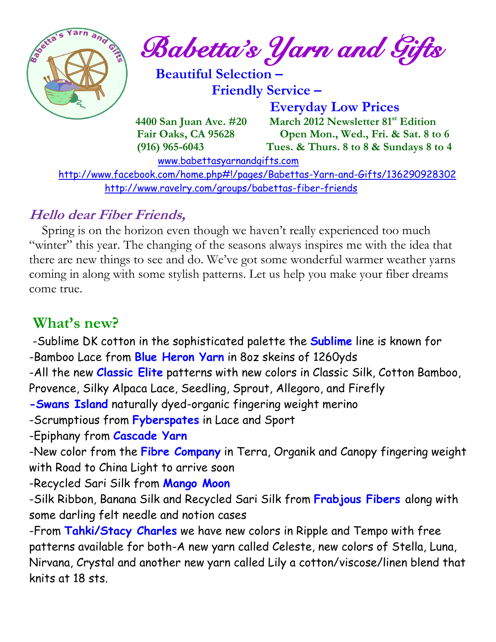

 $\frac{1}{2}$  **Babetta's Yarn and Gifts** 

 **Beautiful Selection – Friendly Service –**

 **Everyday Low Prices 4400 San Juan Ave. #20 March 2012 Newsletter 81st Edition Fair Oaks, CA 95628 Open Mon., Wed., Fri. & Sat. 8 to 6 (916) 965-6043 Tues. & Thurs. 8 to 8 & Sundays 8 to 4** 

[www.babettasyarnandgifts.com](http://www.babettasyarnandgifts.com/)

 <http://www.facebook.com/home.php#!/pages/Babettas-Yarn-and-Gifts/136290928302> <http://www.ravelry.com/groups/babettas-fiber-friends>

### **Hello dear Fiber Friends,**

 Spring is on the horizon even though we haven't really experienced too much "winter" this year. The changing of the seasons always inspires me with the idea that there are new things to see and do. We've got some wonderful warmer weather yarns coming in along with some stylish patterns. Let us help you make your fiber dreams come true.

## **What's new?**

-Sublime DK cotton in the sophisticated palette the **Sublime** line is known for -Bamboo Lace from **Blue Heron Yarn** in 8oz skeins of 1260yds

-All the new **Classic Elite** patterns with new colors in Classic Silk, Cotton Bamboo,

Provence, Silky Alpaca Lace, Seedling, Sprout, Allegoro, and Firefly

**-Swans Island** naturally dyed-organic fingering weight merino

-Scrumptious from **Fyberspates** in Lace and Sport

-Epiphany from **Cascade Yarn**

-New color from the **Fibre Company** in Terra, Organik and Canopy fingering weight with Road to China Light to arrive soon

-Recycled Sari Silk from **Mango Moon**

-Silk Ribbon, Banana Silk and Recycled Sari Silk from **Frabjous Fibers** along with some darling felt needle and notion cases

-From **Tahki/Stacy Charles** we have new colors in Ripple and Tempo with free patterns available for both-A new yarn called Celeste, new colors of Stella, Luna, Nirvana, Crystal and another new yarn called Lily a cotton/viscose/linen blend that knits at 18 sts.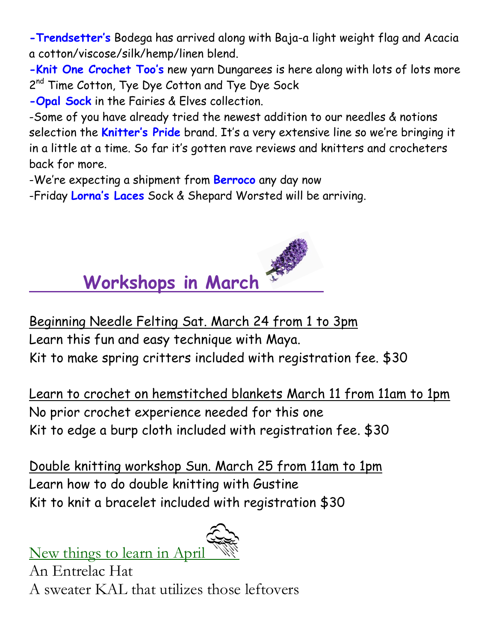**-Trendsetter's** Bodega has arrived along with Baja-a light weight flag and Acacia a cotton/viscose/silk/hemp/linen blend.

**-Knit One Crochet Too's** new yarn Dungarees is here along with lots of lots more 2<sup>nd</sup> Time Cotton, Tye Dye Cotton and Tye Dye Sock

**-Opal Sock** in the Fairies & Elves collection.

-Some of you have already tried the newest addition to our needles & notions selection the **Knitter's Pride** brand. It's a very extensive line so we're bringing it in a little at a time. So far it's gotten rave reviews and knitters and crocheters back for more.

-We're expecting a shipment from **Berroco** any day now

-Friday **Lorna's Laces** Sock & Shepard Worsted will be arriving.



Beginning Needle Felting Sat. March 24 from 1 to 3pm Learn this fun and easy technique with Maya. Kit to make spring critters included with registration fee. \$30

Learn to crochet on hemstitched blankets March 11 from 11am to 1pm No prior crochet experience needed for this one Kit to edge a burp cloth included with registration fee. \$30

Double knitting workshop Sun. March 25 from 11am to 1pm Learn how to do double knitting with Gustine Kit to knit a bracelet included with registration \$30

New things to learn in April

An Entrelac Hat A sweater KAL that utilizes those leftovers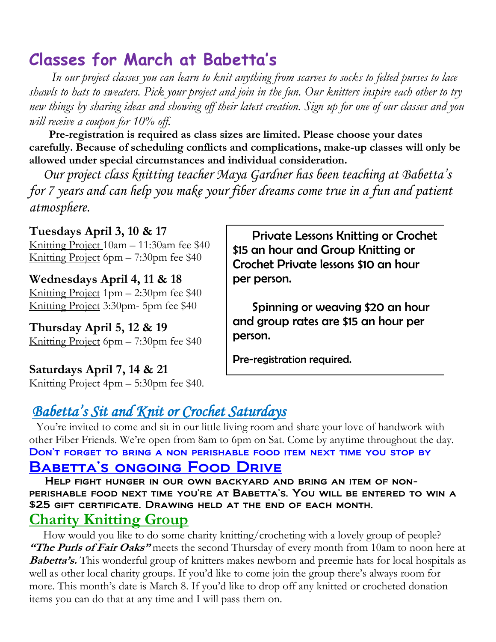# **Classes for March at Babetta's**

 *In our project classes you can learn to knit anything from scarves to socks to felted purses to lace shawls to hats to sweaters. Pick your project and join in the fun. Our knitters inspire each other to try new things by sharing ideas and showing off their latest creation. Sign up for one of our classes and you will receive a coupon for 10% off.*

 **Pre-registration is required as class sizes are limited. Please choose your dates carefully. Because of scheduling conflicts and complications, make-up classes will only be allowed under special circumstances and individual consideration.**

*Our project class knitting teacher Maya Gardner has been teaching at Babetta's for 7 years and can help you make your fiber dreams come true in a fun and patient atmosphere.*

**Tuesdays April 3, 10 & 17** Knitting Project 10am – 11:30am fee \$40 Knitting Project 6pm – 7:30pm fee \$40

**Wednesdays April 4, 11 & 18** Knitting Project 1pm – 2:30pm fee \$40 Knitting Project 3:30pm- 5pm fee \$40

**Thursday April 5, 12 & 19** Knitting Project 6pm – 7:30pm fee \$40

**Saturdays April 7, 14 & 21** Knitting Project 4pm – 5:30pm fee \$40.

 Private Lessons Knitting or Crochet \$15 an hour and Group Knitting or Crochet Private lessons \$10 an hour per person.

 Spinning or weaving \$20 an hour and group rates are \$15 an hour per person.

Pre-registration required.

### *Babetta's Sit and Knit or Crochet Saturdays*

You're invited to come and sit in our little living room and share your love of handwork with other Fiber Friends. We're open from 8am to 6pm on Sat. Come by anytime throughout the day. Don't forget to bring a non perishable food item next time you stop by BABETTA'S ONGOING FOOD DRIVE

 Help fight hunger in our own backyard and bring an item of nonperishable food next time you're at Babetta's. You will be entered to win a \$25 gift certificate. Drawing held at the end of each month.

#### **Charity Knitting Group**

 How would you like to do some charity knitting/crocheting with a lovely group of people? **"The Purls of Fair Oaks"** meets the second Thursday of every month from 10am to noon here at **Babetta's.** This wonderful group of knitters makes newborn and preemie hats for local hospitals as well as other local charity groups. If you'd like to come join the group there's always room for more. This month's date is March 8. If you'd like to drop off any knitted or crocheted donation items you can do that at any time and I will pass them on.